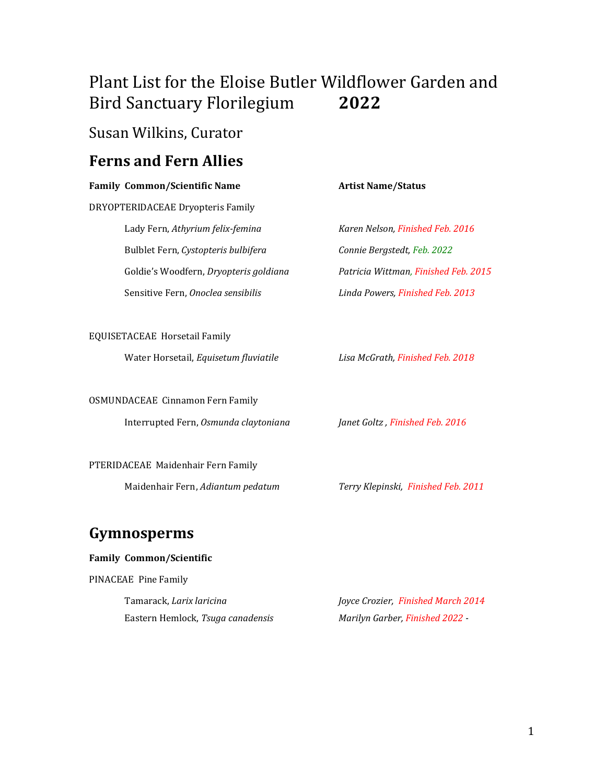# Plant List for the Eloise Butler Wildflower Garden and Bird Sanctuary Florilegium **2022**

## Susan Wilkins, Curator

## **Ferns and Fern Allies**

|                               | <b>Family Common/Scientific Name</b>    | <b>Artist Name/Status</b>            |  |  |
|-------------------------------|-----------------------------------------|--------------------------------------|--|--|
|                               | DRYOPTERIDACEAE Dryopteris Family       |                                      |  |  |
|                               | Lady Fern, Athyrium felix-femina        | Karen Nelson, Finished Feb. 2016     |  |  |
|                               | Bulblet Fern, Cystopteris bulbifera     | Connie Bergstedt, Feb. 2022          |  |  |
|                               | Goldie's Woodfern, Dryopteris goldiana  | Patricia Wittman, Finished Feb. 2015 |  |  |
|                               | Sensitive Fern, Onoclea sensibilis      | Linda Powers, Finished Feb. 2013     |  |  |
|                               |                                         |                                      |  |  |
| EQUISETACEAE Horsetail Family |                                         |                                      |  |  |
|                               | Water Horsetail, Equisetum fluviatile   | Lisa McGrath, Finished Feb. 2018     |  |  |
|                               |                                         |                                      |  |  |
|                               | <b>OSMUNDACEAE Cinnamon Fern Family</b> |                                      |  |  |
|                               | Interrupted Fern, Osmunda claytoniana   | Janet Goltz, Finished Feb. 2016      |  |  |
|                               |                                         |                                      |  |  |
|                               | PTERIDACEAE Maidenhair Fern Family      |                                      |  |  |
|                               | Maidenhair Fern, Adiantum pedatum       | Terry Klepinski, Finished Feb. 2011  |  |  |
|                               |                                         |                                      |  |  |
|                               | Gymnosperms                             |                                      |  |  |

### **Family Common/Scientific**

PINACEAE Pine Family

Tamarack, *Larix laricina Joyce Crozier, Finished March 2014* Eastern Hemlock, *Tsuga canadensis Marilyn Garber, Finished 2022 -*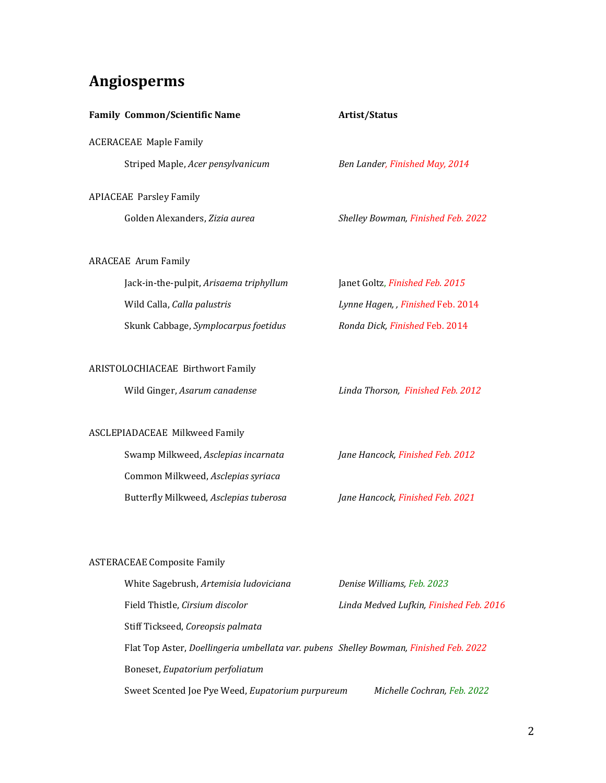# **Angiosperms**

| <b>Family Common/Scientific Name</b>                                                  | Artist/Status                           |
|---------------------------------------------------------------------------------------|-----------------------------------------|
| <b>ACERACEAE Maple Family</b>                                                         |                                         |
| Striped Maple, Acer pensylvanicum                                                     | Ben Lander, Finished May, 2014          |
| <b>APIACEAE Parsley Family</b>                                                        |                                         |
| Golden Alexanders, Zizia aurea                                                        | Shelley Bowman, Finished Feb. 2022      |
| <b>ARACEAE Arum Family</b>                                                            |                                         |
| Jack-in-the-pulpit, Arisaema triphyllum                                               | Janet Goltz, Finished Feb. 2015         |
| Wild Calla, Calla palustris                                                           | Lynne Hagen, , Finished Feb. 2014       |
| Skunk Cabbage, Symplocarpus foetidus                                                  | Ronda Dick, Finished Feb. 2014          |
| <b>ARISTOLOCHIACEAE Birthwort Family</b>                                              |                                         |
| Wild Ginger, Asarum canadense                                                         | Linda Thorson, Finished Feb. 2012       |
| <b>ASCLEPIADACEAE Milkweed Family</b>                                                 |                                         |
| Swamp Milkweed, Asclepias incarnata                                                   | Jane Hancock, Finished Feb. 2012        |
| Common Milkweed, Asclepias syriaca                                                    |                                         |
| Butterfly Milkweed, Asclepias tuberosa                                                | Jane Hancock, Finished Feb. 2021        |
|                                                                                       |                                         |
| <b>ASTERACEAE Composite Family</b>                                                    |                                         |
| White Sagebrush, Artemisia ludoviciana                                                | Denise Williams, Feb. 2023              |
| Field Thistle, Cirsium discolor                                                       | Linda Medved Lufkin, Finished Feb. 2016 |
| Stiff Tickseed, Coreopsis palmata                                                     |                                         |
| Flat Top Aster, Doellingeria umbellata var. pubens Shelley Bowman, Finished Feb. 2022 |                                         |
| Boneset, Eupatorium perfoliatum                                                       |                                         |
| Sweet Scented Joe Pye Weed, Eupatorium purpureum                                      | Michelle Cochran, Feb. 2022             |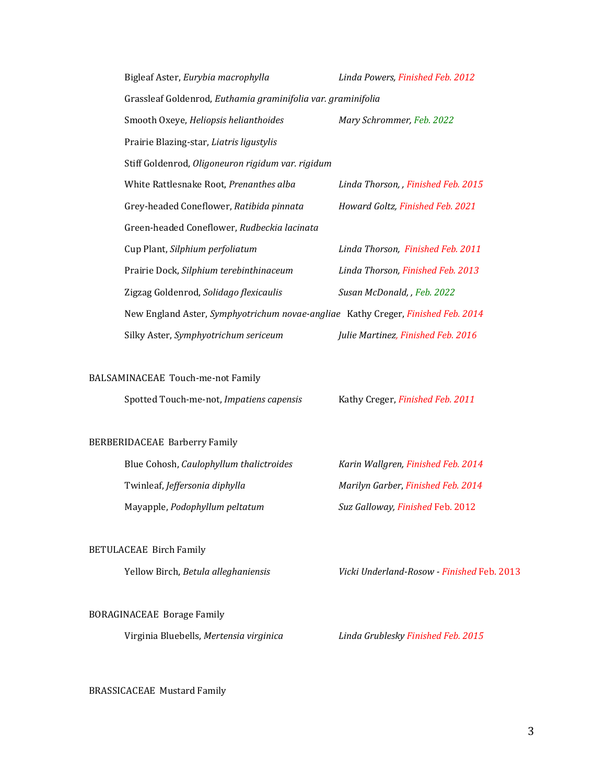| Bigleaf Aster, Eurybia macrophylla                                               | Linda Powers, Finished Feb. 2012   |  |  |
|----------------------------------------------------------------------------------|------------------------------------|--|--|
| Grassleaf Goldenrod, Euthamia graminifolia var. graminifolia                     |                                    |  |  |
| Smooth Oxeye, Heliopsis helianthoides                                            | Mary Schrommer, Feb. 2022          |  |  |
| Prairie Blazing-star, Liatris ligustylis                                         |                                    |  |  |
| Stiff Goldenrod, Oligoneuron rigidum var. rigidum                                |                                    |  |  |
| White Rattlesnake Root, Prenanthes alba                                          | Linda Thorson,, Finished Feb. 2015 |  |  |
| Grey-headed Coneflower, Ratibida pinnata                                         | Howard Goltz, Finished Feb. 2021   |  |  |
| Green-headed Coneflower, Rudbeckia lacinata                                      |                                    |  |  |
| Cup Plant, Silphium perfoliatum                                                  | Linda Thorson, Finished Feb. 2011  |  |  |
| Prairie Dock, Silphium terebinthinaceum                                          | Linda Thorson, Finished Feb. 2013  |  |  |
| Zigzag Goldenrod, Solidago flexicaulis                                           | Susan McDonald, , Feb. 2022        |  |  |
| New England Aster, Symphyotrichum novae-angliae Kathy Creger, Finished Feb. 2014 |                                    |  |  |
| Silky Aster, Symphyotrichum sericeum                                             | Julie Martinez, Finished Feb. 2016 |  |  |
|                                                                                  |                                    |  |  |

#### BALSAMINACEAE Touch-me-not Family

Spotted Touch-me-not, *Impatiens capensis* Kathy Creger, *Finished Feb. 2011*

#### BERBERIDACEAE Barberry Family

| Blue Cohosh, Caulophyllum thalictroides | Karin Wallgren, Finished Feb. 2014      |
|-----------------------------------------|-----------------------------------------|
| Twinleaf, Jeffersonia diphylla          | Marilyn Garber, Finished Feb. 2014      |
| Mayapple, Podophyllum peltatum          | <b>Suz Galloway, Finished Feb. 2012</b> |

### BETULACEAE Birch Family

Yellow Birch, *Betula alleghaniensis Vicki Underland-Rosow - Finished* Feb. 2013

#### BORAGINACEAE Borage Family

Virginia Bluebells, *Mertensia virginica Linda Grublesky Finished Feb. 2015*

### BRASSICACEAE Mustard Family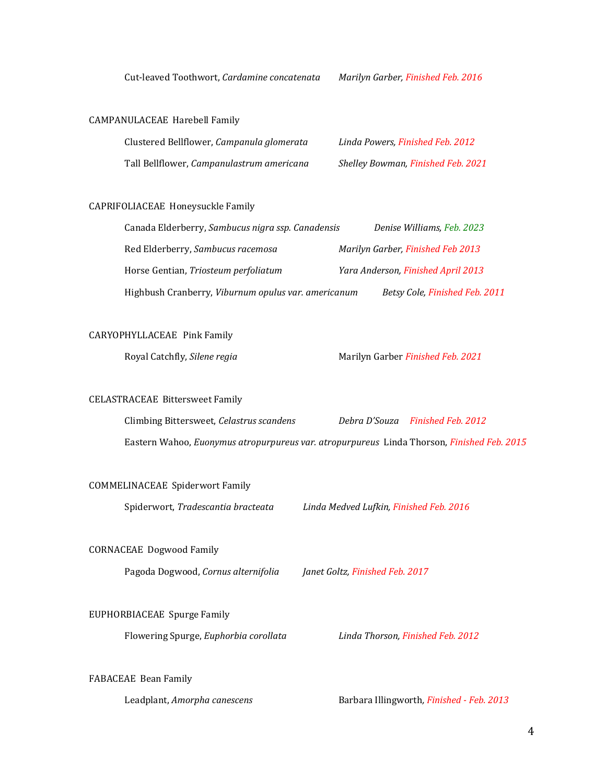Cut-leaved Toothwort, *Cardamine concatenata Marilyn Garber, Finished Feb. 2016*

#### CAMPANULACEAE Harebell Family

| Clustered Bellflower, Campanula glomerata | Linda Powers, Finished Feb. 2012          |
|-------------------------------------------|-------------------------------------------|
| Tall Bellflower, Campanulastrum americana | <b>Shelley Bowman, Finished Feb. 2021</b> |

#### CAPRIFOLIACEAE Honeysuckle Family

| Canada Elderberry, Sambucus nigra ssp. Canadensis   | Denise Williams, Feb. 2023               |
|-----------------------------------------------------|------------------------------------------|
| Red Elderberry, Sambucus racemosa                   | <b>Marilyn Garber, Finished Feb 2013</b> |
| Horse Gentian, Triosteum perfoliatum                | Yara Anderson, Finished April 2013       |
| Highbush Cranberry, Viburnum opulus var. americanum | Betsy Cole, Finished Feb. 2011           |

#### CARYOPHYLLACEAE Pink Family

Royal Catchfly, *Silene regia* Marilyn Garber *Finished Feb. 2021*

#### CELASTRACEAE Bittersweet Family

Climbing Bittersweet, *Celastrus scandens Debra D'Souza Finished Feb. 2012* Eastern Wahoo, *Euonymus atropurpureus var. atropurpureus* Linda Thorson, *Finished Feb. 2015*

#### COMMELINACEAE Spiderwort Family

Spiderwort, *Tradescantia bracteata Linda Medved Lufkin, Finished Feb. 2016*

### CORNACEAE Dogwood Family

Pagoda Dogwood, *Cornus alternifolia Janet Goltz, Finished Feb. 2017*

#### EUPHORBIACEAE Spurge Family

Flowering Spurge, *Euphorbia corollata Linda Thorson, Finished Feb. 2012*

FABACEAE Bean Family

Leadplant, *Amorpha canescens* Barbara Illingworth*, Finished - Feb. 2013*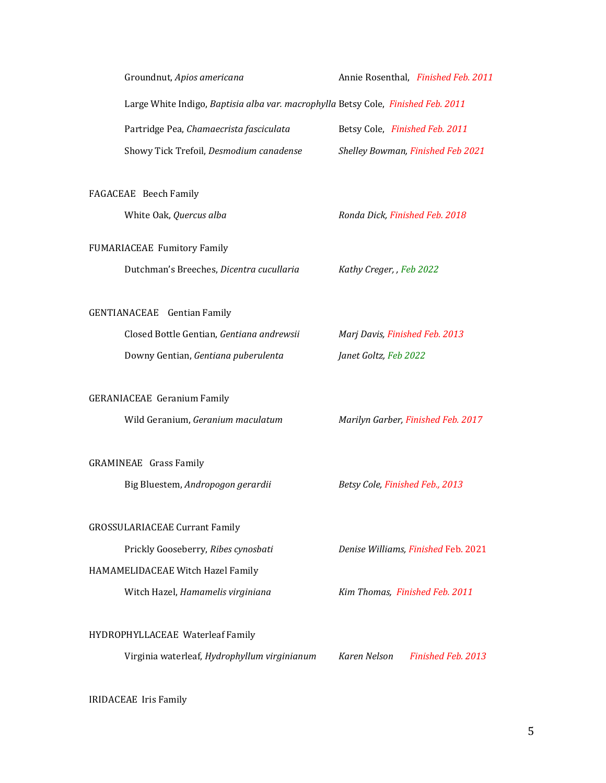|                               | Groundnut, Apios americana                                                        | Annie Rosenthal, Finished Feb. 2011 |
|-------------------------------|-----------------------------------------------------------------------------------|-------------------------------------|
|                               | Large White Indigo, Baptisia alba var. macrophylla Betsy Cole, Finished Feb. 2011 |                                     |
|                               | Partridge Pea, Chamaecrista fasciculata                                           | Betsy Cole, Finished Feb. 2011      |
|                               | Showy Tick Trefoil, Desmodium canadense                                           | Shelley Bowman, Finished Feb 2021   |
|                               |                                                                                   |                                     |
| FAGACEAE Beech Family         |                                                                                   |                                     |
|                               | White Oak, Quercus alba                                                           | Ronda Dick, Finished Feb. 2018      |
|                               | FUMARIACEAE Fumitory Family                                                       |                                     |
|                               | Dutchman's Breeches, Dicentra cucullaria                                          | Kathy Creger, , Feb 2022            |
|                               |                                                                                   |                                     |
|                               | GENTIANACEAE Gentian Family                                                       |                                     |
|                               | Closed Bottle Gentian, Gentiana andrewsii                                         | Marj Davis, Finished Feb. 2013      |
|                               | Downy Gentian, Gentiana puberulenta                                               | Janet Goltz, Feb 2022               |
|                               |                                                                                   |                                     |
|                               | <b>GERANIACEAE Geranium Family</b>                                                |                                     |
|                               | Wild Geranium, Geranium maculatum                                                 | Marilyn Garber, Finished Feb. 2017  |
|                               |                                                                                   |                                     |
| <b>GRAMINEAE</b> Grass Family |                                                                                   |                                     |
|                               | Big Bluestem, Andropogon gerardii                                                 | Betsy Cole, Finished Feb., 2013     |
|                               | <b>GROSSULARIACEAE Currant Family</b>                                             |                                     |
|                               | Prickly Gooseberry, Ribes cynosbati                                               | Denise Williams, Finished Feb. 2021 |
|                               | HAMAMELIDACEAE Witch Hazel Family                                                 |                                     |
|                               | Witch Hazel, Hamamelis virginiana                                                 | Kim Thomas, Finished Feb. 2011      |
|                               |                                                                                   |                                     |
|                               | HYDROPHYLLACEAE Waterleaf Family                                                  |                                     |
|                               | Virginia waterleaf, Hydrophyllum virginianum                                      | Karen Nelson<br>Finished Feb. 2013  |
|                               |                                                                                   |                                     |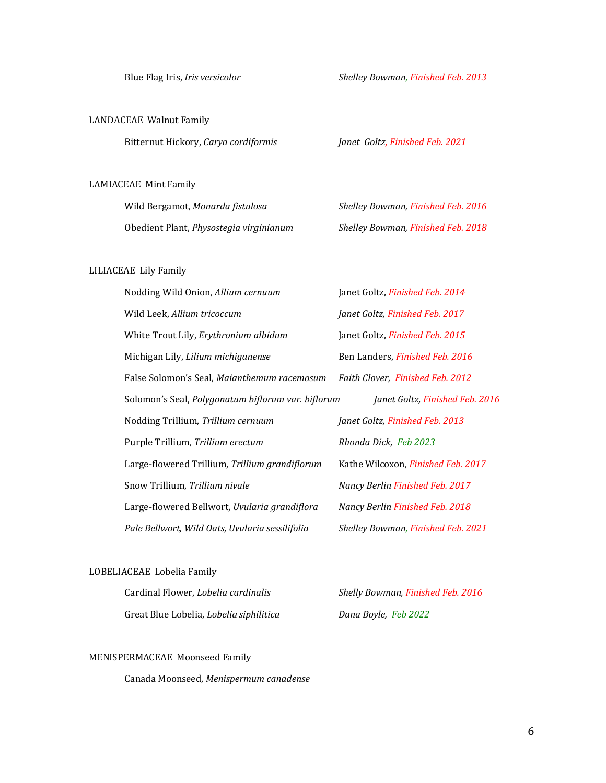### LANDACEAE Walnut Family

Bitternut Hickory, *Carya cordiformis Janet Goltz, Finished Feb. 2021*

#### LAMIACEAE Mint Family

| Wild Bergamot, Monarda fistulosa        | <b>Shelley Bowman, Finished Feb. 2016</b> |
|-----------------------------------------|-------------------------------------------|
| Obedient Plant, Physostegia virginianum | <b>Shelley Bowman, Finished Feb. 2018</b> |

#### LILIACEAE Lily Family

| Nodding Wild Onion, Allium cernuum                 | Janet Goltz, Finished Feb. 2014        |  |
|----------------------------------------------------|----------------------------------------|--|
| Wild Leek, Allium tricoccum                        | Janet Goltz, Finished Feb. 2017        |  |
| White Trout Lily, Erythronium albidum              | Janet Goltz, Finished Feb. 2015        |  |
| Michigan Lily, Lilium michiganense                 | Ben Landers, <i>Finished Feb. 2016</i> |  |
| False Solomon's Seal, Maianthemum racemosum        | Faith Clover, Finished Feb. 2012       |  |
| Solomon's Seal, Polygonatum biflorum var. biflorum | Janet Goltz, Finished Feb. 2016        |  |
| Nodding Trillium, Trillium cernuum                 | Janet Goltz, Finished Feb. 2013        |  |
| Purple Trillium, Trillium erectum                  | Rhonda Dick, Feb 2023                  |  |
| Large-flowered Trillium, Trillium grandiflorum     | Kathe Wilcoxon, Finished Feb. 2017     |  |
| Snow Trillium, Trillium nivale                     | Nancy Berlin Finished Feb. 2017        |  |
| Large-flowered Bellwort, Uvularia grandiflora      | Nancy Berlin Finished Feb. 2018        |  |
| Pale Bellwort, Wild Oats, Uvularia sessilifolia    | Shelley Bowman, Finished Feb. 2021     |  |

#### LOBELIACEAE Lobelia Family

| Cardinal Flower, Lobelia cardinalis     |
|-----------------------------------------|
| Great Blue Lobelia, Lobelia siphilitica |

Cardinal Flower, *Lobelia cardinalis Shelly Bowman, Finished Feb. 2016* Dana Boyle, Feb 2022

#### MENISPERMACEAE Moonseed Family

Canada Moonseed, *Menispermum canadense*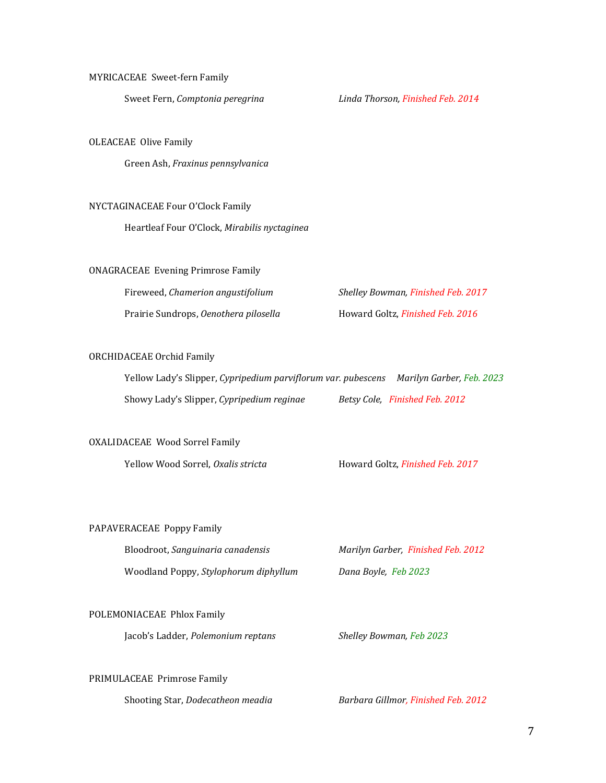#### MYRICACEAE Sweet-fern Family

Sweet Fern, *Comptonia peregrina Linda Thorson, Finished Feb. 2014*

#### OLEACEAE Olive Family

Green Ash, *Fraxinus pennsylvanica*

#### NYCTAGINACEAE Four O'Clock Family

Heartleaf Four O'Clock, *Mirabilis nyctaginea*

#### ONAGRACEAE Evening Primrose Family

| Fireweed, Chamerion angustifolium     | Shelley Bowman, Finished Feb. 2017 |
|---------------------------------------|------------------------------------|
| Prairie Sundrops, Oenothera pilosella | Howard Goltz, Finished Feb. 2016   |

#### ORCHIDACEAE Orchid Family

| Yellow Lady's Slipper, Cypripedium parviflorum var. pubescens | Marilyn Garber, Feb. 2023      |
|---------------------------------------------------------------|--------------------------------|
| Showy Lady's Slipper, Cypripedium reginae                     | Betsy Cole, Finished Feb. 2012 |

#### OXALIDACEAE Wood Sorrel Family

Yellow Wood Sorrel, *Oxalis stricta* Howard Goltz, *Finished Feb. 2017*

#### PAPAVERACEAE Poppy Family

| Bloodroot, Sanguinaria canadensis     | Marilyn Garber, Finished Feb. 2012 |
|---------------------------------------|------------------------------------|
| Woodland Poppy, Stylophorum diphyllum | Dana Boyle, Feb 2023               |

#### POLEMONIACEAE Phlox Family

Jacob's Ladder, *Polemonium reptans Shelley Bowman, Feb 2023*

#### PRIMULACEAE Primrose Family

Shooting Star, *Dodecatheon meadia Barbara Gillmor, Finished Feb. 2012*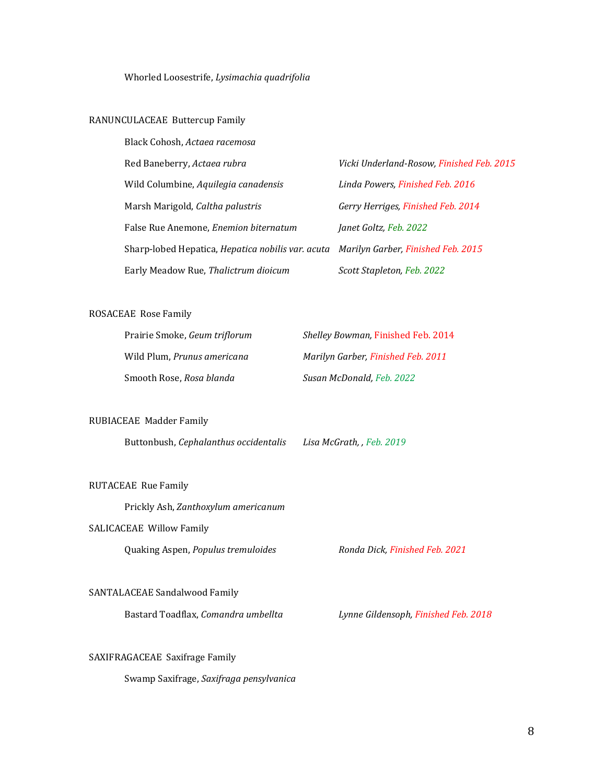Whorled Loosestrife, *Lysimachia quadrifolia*

#### RANUNCULACEAE Buttercup Family

| Black Cohosh, Actaea racemosa                                                               |                                           |
|---------------------------------------------------------------------------------------------|-------------------------------------------|
| Red Baneberry, Actaea rubra                                                                 | Vicki Underland-Rosow, Finished Feb. 2015 |
| Wild Columbine, Aquilegia canadensis                                                        | Linda Powers, Finished Feb. 2016          |
| Marsh Marigold, Caltha palustris                                                            | Gerry Herriges, Finished Feb. 2014        |
| False Rue Anemone, <i>Enemion biternatum</i>                                                | Janet Goltz, Feb. 2022                    |
| Sharp-lobed Hepatica, <i>Hepatica nobilis var. acuta Marilyn Garber, Finished Feb. 2015</i> |                                           |
| Early Meadow Rue, Thalictrum dioicum                                                        | Scott Stapleton, Feb. 2022                |

#### ROSACEAE Rose Family

| Prairie Smoke, <i>Geum triflorum</i> | <i>Shelley Bowman, Finished Feb. 2014</i> |
|--------------------------------------|-------------------------------------------|
| Wild Plum, <i>Prunus americana</i>   | Marilyn Garber, Finished Feb. 2011        |
| Smooth Rose, <i>Rosa blanda</i>      | Susan McDonald, Feb. 2022                 |

#### RUBIACEAE Madder Family

Buttonbush, *Cephalanthus occidentalis Lisa McGrath, , Feb. 2019*

#### RUTACEAE Rue Family

Prickly Ash, *Zanthoxylum americanum*

#### SALICACEAE Willow Family

Quaking Aspen, *Populus tremuloides Ronda Dick, Finished Feb. 2021*

#### SANTALACEAE Sandalwood Family

Bastard Toadflax, *Comandra umbellta Lynne Gildensoph, Finished Feb. 2018*

#### SAXIFRAGACEAE Saxifrage Family

Swamp Saxifrage, *Saxifraga pensylvanica*